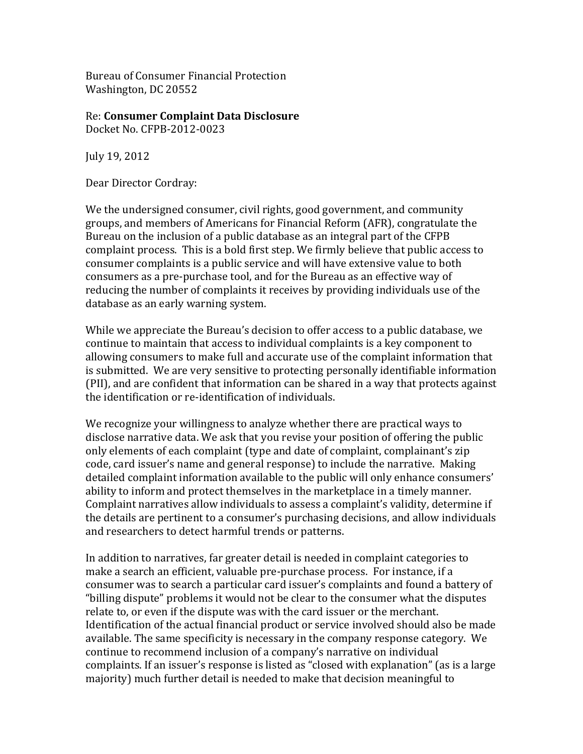Bureau of Consumer Financial Protection Washington, DC 20552

Re:&**Consumer)Complaint)Data)Disclosure** Docket No. CFPB-2012-0023

July 19, 2012

Dear Director Cordray:

We the undersigned consumer, civil rights, good government, and community groups, and members of Americans for Financial Reform (AFR), congratulate the Bureau on the inclusion of a public database as an integral part of the CFPB complaint process. This is a bold first step. We firmly believe that public access to consumer complaints is a public service and will have extensive value to both consumers as a pre-purchase tool, and for the Bureau as an effective way of reducing the number of complaints it receives by providing individuals use of the database as an early warning system.

While we appreciate the Bureau's decision to offer access to a public database, we continue to maintain that access to individual complaints is a key component to allowing consumers to make full and accurate use of the complaint information that is submitted. We are very sensitive to protecting personally identifiable information (PII), and are confident that information can be shared in a way that protects against the identification or re-identification of individuals.

We recognize your willingness to analyze whether there are practical ways to disclose narrative data. We ask that you revise your position of offering the public only elements of each complaint (type and date of complaint, complainant's zip code, card issuer's name and general response) to include the narrative. Making detailed complaint information available to the public will only enhance consumers' ability to inform and protect themselves in the marketplace in a timely manner. Complaint narratives allow individuals to assess a complaint's validity, determine if the details are pertinent to a consumer's purchasing decisions, and allow individuals and researchers to detect harmful trends or patterns.

In addition to narratives, far greater detail is needed in complaint categories to make a search an efficient, valuable pre-purchase process. For instance, if a consumer was to search a particular card issuer's complaints and found a battery of "billing dispute" problems it would not be clear to the consumer what the disputes relate to, or even if the dispute was with the card issuer or the merchant. Identification of the actual financial product or service involved should also be made available. The same specificity is necessary in the company response category. We continue to recommend inclusion of a company's narrative on individual complaints. If an issuer's response is listed as "closed with explanation" (as is a large majority) much further detail is needed to make that decision meaningful to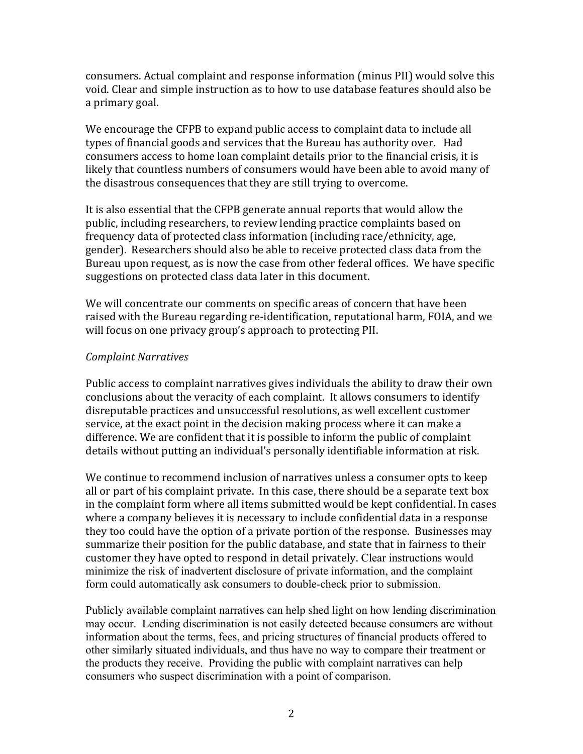consumers. Actual complaint and response information (minus PII) would solve this void. Clear and simple instruction as to how to use database features should also be a primary goal.

We encourage the CFPB to expand public access to complaint data to include all types of financial goods and services that the Bureau has authority over. Had consumers access to home loan complaint details prior to the financial crisis, it is likely that countless numbers of consumers would have been able to avoid many of the disastrous consequences that they are still trying to overcome.

It is also essential that the CFPB generate annual reports that would allow the public, including researchers, to review lending practice complaints based on frequency data of protected class information (including race/ethnicity, age, gender). Researchers should also be able to receive protected class data from the Bureau upon request, as is now the case from other federal offices. We have specific suggestions on protected class data later in this document.

We will concentrate our comments on specific areas of concern that have been raised with the Bureau regarding re-identification, reputational harm, FOIA, and we will focus on one privacy group's approach to protecting PII.

## *Complaint\*Narratives*

Public access to complaint narratives gives individuals the ability to draw their own conclusions about the veracity of each complaint. It allows consumers to identify disreputable practices and unsuccessful resolutions, as well excellent customer service, at the exact point in the decision making process where it can make a difference. We are confident that it is possible to inform the public of complaint details without putting an individual's personally identifiable information at risk.

We continue to recommend inclusion of narratives unless a consumer opts to keep all or part of his complaint private. In this case, there should be a separate text box in the complaint form where all items submitted would be kept confidential. In cases where a company believes it is necessary to include confidential data in a response they too could have the option of a private portion of the response. Businesses may summarize their position for the public database, and state that in fairness to their customer they have opted to respond in detail privately. Clear instructions would minimize the risk of inadvertent disclosure of private information, and the complaint form could automatically ask consumers to double-check prior to submission.

Publicly available complaint narratives can help shed light on how lending discrimination may occur. Lending discrimination is not easily detected because consumers are without information about the terms, fees, and pricing structures of financial products offered to other similarly situated individuals, and thus have no way to compare their treatment or the products they receive. Providing the public with complaint narratives can help consumers who suspect discrimination with a point of comparison.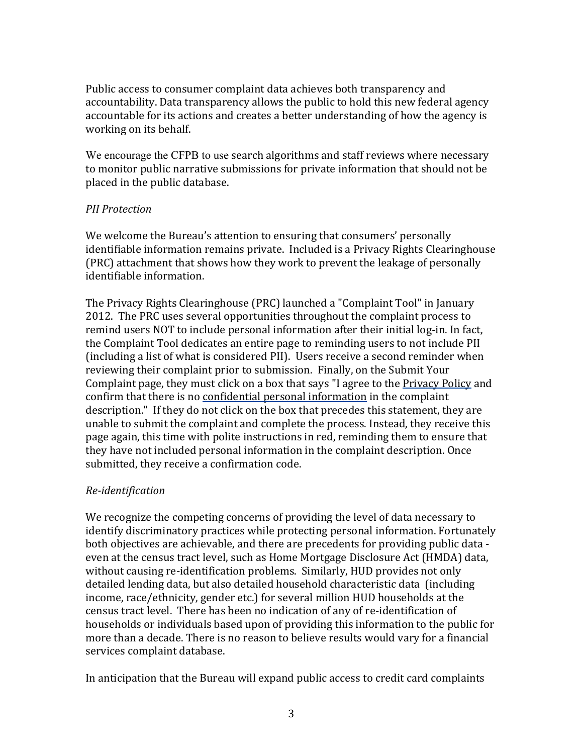Public access to consumer complaint data achieves both transparency and accountability. Data transparency allows the public to hold this new federal agency accountable for its actions and creates a better understanding of how the agency is working on its behalf.

We encourage the CFPB to use search algorithms and staff reviews where necessary to monitor public narrative submissions for private information that should not be placed in the public database.

## *PII* Protection

We welcome the Bureau's attention to ensuring that consumers' personally identifiable information remains private. Included is a Privacy Rights Clearinghouse (PRC) attachment that shows how they work to prevent the leakage of personally identifiable information.

The Privacy Rights Clearinghouse (PRC) launched a "Complaint Tool" in January 2012. The PRC uses several opportunities throughout the complaint process to remind users NOT to include personal information after their initial log-in. In fact, the Complaint Tool dedicates an entire page to reminding users to not include PII (including a list of what is considered PII). Users receive a second reminder when reviewing their complaint prior to submission. Finally, on the Submit Your Complaint page, they must click on a box that says "I agree to the Privacy Policy and confirm that there is no confidential personal information in the complaint description." If they do not click on the box that precedes this statement, they are unable to submit the complaint and complete the process. Instead, they receive this page again, this time with polite instructions in red, reminding them to ensure that they have not included personal information in the complaint description. Once submitted, they receive a confirmation code.

# *Re-identification*

We recognize the competing concerns of providing the level of data necessary to identify discriminatory practices while protecting personal information. Fortunately both objectives are achievable, and there are precedents for providing public data even at the census tract level, such as Home Mortgage Disclosure Act (HMDA) data, without causing re-identification problems. Similarly, HUD provides not only detailed lending data, but also detailed household characteristic data (including income, race/ethnicity, gender etc.) for several million HUD households at the census tract level. There has been no indication of any of re-identification of households or individuals based upon of providing this information to the public for more than a decade. There is no reason to believe results would vary for a financial services complaint database.

In anticipation that the Bureau will expand public access to credit card complaints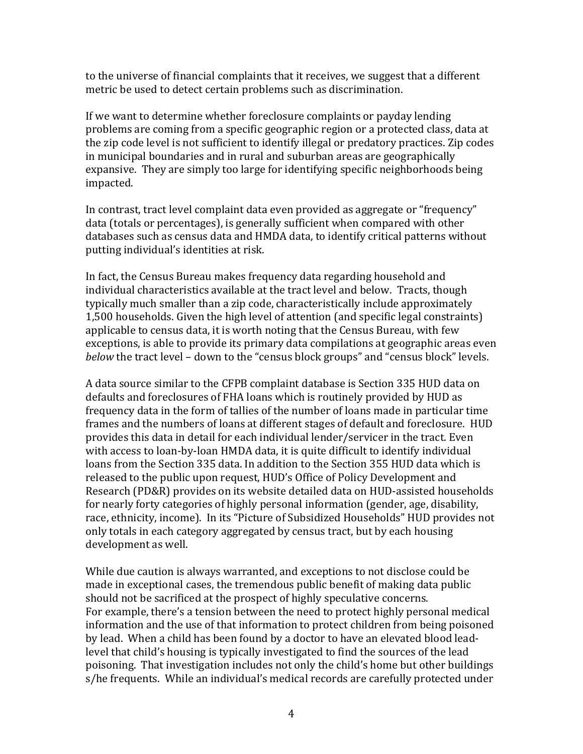to the universe of financial complaints that it receives, we suggest that a different metric be used to detect certain problems such as discrimination.

If we want to determine whether foreclosure complaints or payday lending problems are coming from a specific geographic region or a protected class, data at the zip code level is not sufficient to identify illegal or predatory practices. Zip codes in municipal boundaries and in rural and suburban areas are geographically expansive. They are simply too large for identifying specific neighborhoods being impacted.

In contrast, tract level complaint data even provided as aggregate or "frequency" data (totals or percentages), is generally sufficient when compared with other databases such as census data and HMDA data, to identify critical patterns without putting individual's identities at risk.

In fact, the Census Bureau makes frequency data regarding household and individual characteristics available at the tract level and below. Tracts, though typically much smaller than a zip code, characteristically include approximately 1,500 households. Given the high level of attention (and specific legal constraints) applicable to census data, it is worth noting that the Census Bureau, with few exceptions, is able to provide its primary data compilations at geographic areas even *below* the tract level – down to the "census block groups" and "census block" levels.

A data source similar to the CFPB complaint database is Section 335 HUD data on defaults and foreclosures of FHA loans which is routinely provided by HUD as frequency data in the form of tallies of the number of loans made in particular time frames and the numbers of loans at different stages of default and foreclosure. HUD provides this data in detail for each individual lender/servicer in the tract. Even with access to loan-by-loan HMDA data, it is quite difficult to identify individual loans from the Section 335 data. In addition to the Section 355 HUD data which is released to the public upon request, HUD's Office of Policy Development and Research (PD&R) provides on its website detailed data on HUD-assisted households for nearly forty categories of highly personal information (gender, age, disability, race, ethnicity, income). In its "Picture of Subsidized Households" HUD provides not only totals in each category aggregated by census tract, but by each housing development as well.

While due caution is always warranted, and exceptions to not disclose could be made in exceptional cases, the tremendous public benefit of making data public should not be sacrificed at the prospect of highly speculative concerns. For example, there's a tension between the need to protect highly personal medical information and the use of that information to protect children from being poisoned by lead. When a child has been found by a doctor to have an elevated blood leadlevel that child's housing is typically investigated to find the sources of the lead poisoning. That investigation includes not only the child's home but other buildings s/he frequents. While an individual's medical records are carefully protected under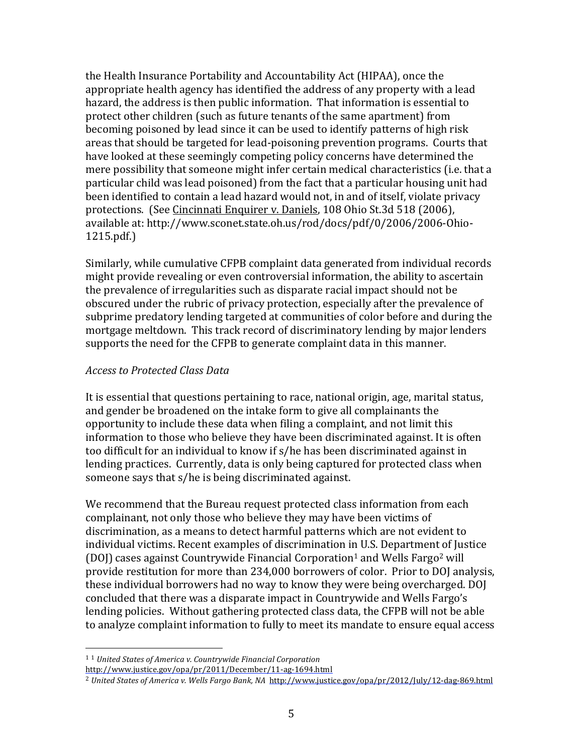the Health Insurance Portability and Accountability Act (HIPAA), once the appropriate health agency has identified the address of any property with a lead hazard, the address is then public information. That information is essential to protect other children (such as future tenants of the same apartment) from becoming poisoned by lead since it can be used to identify patterns of high risk areas that should be targeted for lead-poisoning prevention programs. Courts that have looked at these seemingly competing policy concerns have determined the mere possibility that someone might infer certain medical characteristics (i.e. that a particular child was lead poisoned) from the fact that a particular housing unit had been identified to contain a lead hazard would not, in and of itself, violate privacy protections. (See Cincinnati Enquirer v. Daniels, 108 Ohio St.3d 518 (2006), available at: http://www.sconet.state.oh.us/rod/docs/pdf/0/2006/2006-Ohio- $1215.pdf.$ 

Similarly, while cumulative CFPB complaint data generated from individual records might provide revealing or even controversial information, the ability to ascertain the prevalence of irregularities such as disparate racial impact should not be obscured under the rubric of privacy protection, especially after the prevalence of subprime predatory lending targeted at communities of color before and during the mortgage meltdown. This track record of discriminatory lending by major lenders supports the need for the CFPB to generate complaint data in this manner.

## *Access\*to\*Protected\*Class\*Data*

It is essential that questions pertaining to race, national origin, age, marital status, and gender be broadened on the intake form to give all complainants the opportunity to include these data when filing a complaint, and not limit this information to those who believe they have been discriminated against. It is often too difficult for an individual to know if s/he has been discriminated against in lending practices. Currently, data is only being captured for protected class when someone says that s/he is being discriminated against.

We recommend that the Bureau request protected class information from each complainant, not only those who believe they may have been victims of discrimination, as a means to detect harmful patterns which are not evident to individual victims. Recent examples of discrimination in U.S. Department of Justice (DOJ) cases against Countrywide Financial Corporation<sup>1</sup> and Wells Fargo<sup>2</sup> will provide restitution for more than 234,000 borrowers of color. Prior to DOJ analysis, these individual borrowers had no way to know they were being overcharged. DOJ concluded that there was a disparate impact in Countrywide and Wells Fargo's lending policies. Without gathering protected class data, the CFPB will not be able to analyze complaint information to fully to meet its mandate to ensure equal access

&&&&&&&&&&&&&&&&&&&&&&&&&&&&&&&&&&&&&&&&&&&&&&&&&&&&&&&

<sup>&</sup>lt;sup>1</sup> <sup>1</sup> *United States of America v. Countrywide Financial Corporation* 

http://www.justice.gov/opa/pr/2011/December/11-ag-1694.html

<sup>&</sup>lt;sup>2</sup> United States of America v. Wells Fargo Bank, NA http://www.justice.gov/opa/pr/2012/July/12-dag-869.html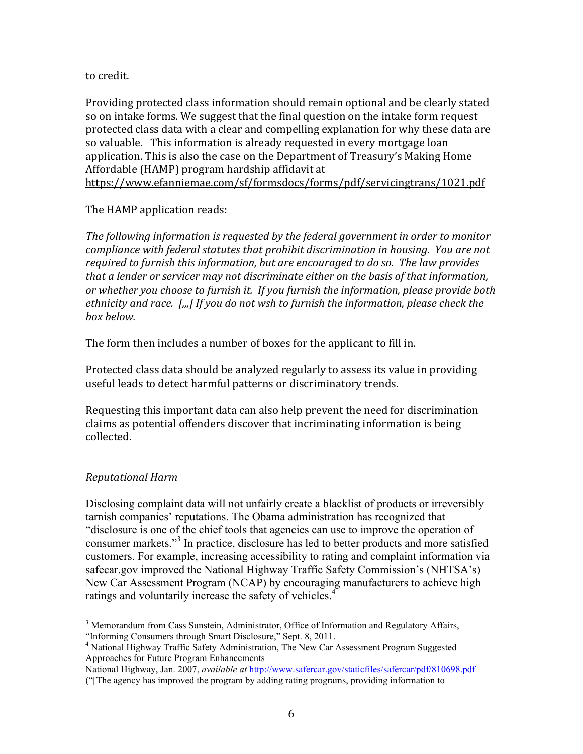to credit.

Providing protected class information should remain optional and be clearly stated so on intake forms. We suggest that the final question on the intake form request protected class data with a clear and compelling explanation for why these data are so valuable. This information is already requested in every mortgage loan application. This is also the case on the Department of Treasury's Making Home Affordable (HAMP) program hardship affidavit at https://www.efanniemae.com/sf/formsdocs/forms/pdf/servicingtrans/1021.pdf

## The HAMP application reads:

The following information is requested by the federal government in order to monitor compliance with federal statutes that prohibit discrimination in housing. You are not required to furnish this information, but are encouraged to do so. The law provides *that\*a\*lender\*or\*servicer\*may\*not\*discriminate\*either\*on\*the\*basis\*of\*that\*information,\** or whether you choose to furnish it. If you furnish the information, please provide both ethnicity and race. [*,,,*] If you do not wsh to furnish the information, please check the *box\*below.*

The form then includes a number of boxes for the applicant to fill in.

Protected class data should be analyzed regularly to assess its value in providing useful leads to detect harmful patterns or discriminatory trends.

Requesting this important data can also help prevent the need for discrimination claims as potential offenders discover that incriminating information is being collected.

# *Reputational\*Harm*

Disclosing complaint data will not unfairly create a blacklist of products or irreversibly tarnish companies' reputations. The Obama administration has recognized that "disclosure is one of the chief tools that agencies can use to improve the operation of consumer markets."<sup>3</sup> In practice, disclosure has led to better products and more satisfied customers. For example, increasing accessibility to rating and complaint information via safecar.gov improved the National Highway Traffic Safety Commission's (NHTSA's) New Car Assessment Program (NCAP) by encouraging manufacturers to achieve high ratings and voluntarily increase the safety of vehicles.<sup>4</sup>

 $\overline{a}$ <sup>3</sup> Memorandum from Cass Sunstein, Administrator, Office of Information and Regulatory Affairs, "Informing Consumers through Smart Disclosure," Sept. 8, 2011.

<sup>&</sup>lt;sup>4</sup> National Highway Traffic Safety Administration, The New Car Assessment Program Suggested Approaches for Future Program Enhancements

National Highway, Jan. 2007, *available at* http://www.safercar.gov/staticfiles/safercar/pdf/810698.pdf

<sup>(&</sup>quot;[The agency has improved the program by adding rating programs, providing information to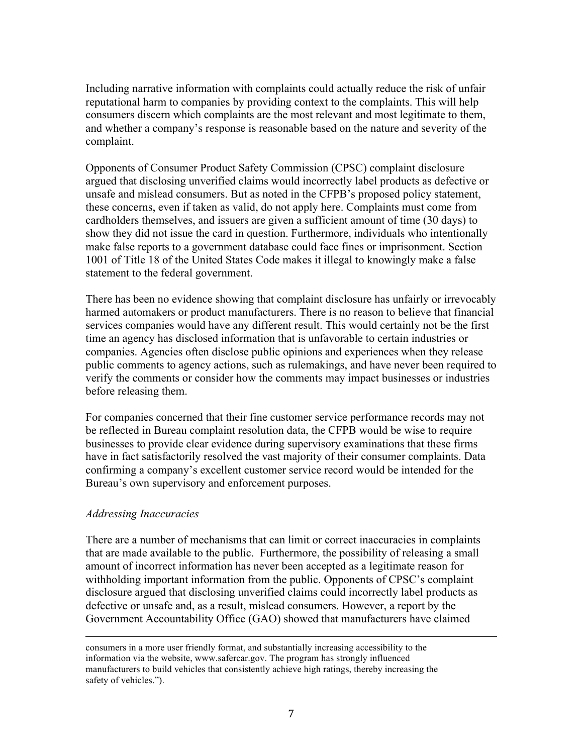Including narrative information with complaints could actually reduce the risk of unfair reputational harm to companies by providing context to the complaints. This will help consumers discern which complaints are the most relevant and most legitimate to them, and whether a company's response is reasonable based on the nature and severity of the complaint.

Opponents of Consumer Product Safety Commission (CPSC) complaint disclosure argued that disclosing unverified claims would incorrectly label products as defective or unsafe and mislead consumers. But as noted in the CFPB's proposed policy statement, these concerns, even if taken as valid, do not apply here. Complaints must come from cardholders themselves, and issuers are given a sufficient amount of time (30 days) to show they did not issue the card in question. Furthermore, individuals who intentionally make false reports to a government database could face fines or imprisonment. Section 1001 of Title 18 of the United States Code makes it illegal to knowingly make a false statement to the federal government.

There has been no evidence showing that complaint disclosure has unfairly or irrevocably harmed automakers or product manufacturers. There is no reason to believe that financial services companies would have any different result. This would certainly not be the first time an agency has disclosed information that is unfavorable to certain industries or companies. Agencies often disclose public opinions and experiences when they release public comments to agency actions, such as rulemakings, and have never been required to verify the comments or consider how the comments may impact businesses or industries before releasing them.

For companies concerned that their fine customer service performance records may not be reflected in Bureau complaint resolution data, the CFPB would be wise to require businesses to provide clear evidence during supervisory examinations that these firms have in fact satisfactorily resolved the vast majority of their consumer complaints. Data confirming a company's excellent customer service record would be intended for the Bureau's own supervisory and enforcement purposes.

### *Addressing Inaccuracies*

There are a number of mechanisms that can limit or correct inaccuracies in complaints that are made available to the public. Furthermore, the possibility of releasing a small amount of incorrect information has never been accepted as a legitimate reason for withholding important information from the public. Opponents of CPSC's complaint disclosure argued that disclosing unverified claims could incorrectly label products as defective or unsafe and, as a result, mislead consumers. However, a report by the Government Accountability Office (GAO) showed that manufacturers have claimed

&&&&&&&&&&&&&&&&&&&&&&&&&&&&&&&&&&&&&&&&&&&&&&&&&&&&&&&&&&&&&&&&&&&&&&&&&&&&&&&&&&&&&&&&&&&&&&&&&&&&&&&&&&&&&&&&&&&&&&&&&&&&&&&&&&&&&&&&&&&&&&&&&&&&&&&&&&&&&&&&&&&&

consumers in a more user friendly format, and substantially increasing accessibility to the information via the website, www.safercar.gov. The program has strongly influenced manufacturers to build vehicles that consistently achieve high ratings, thereby increasing the safety of vehicles.").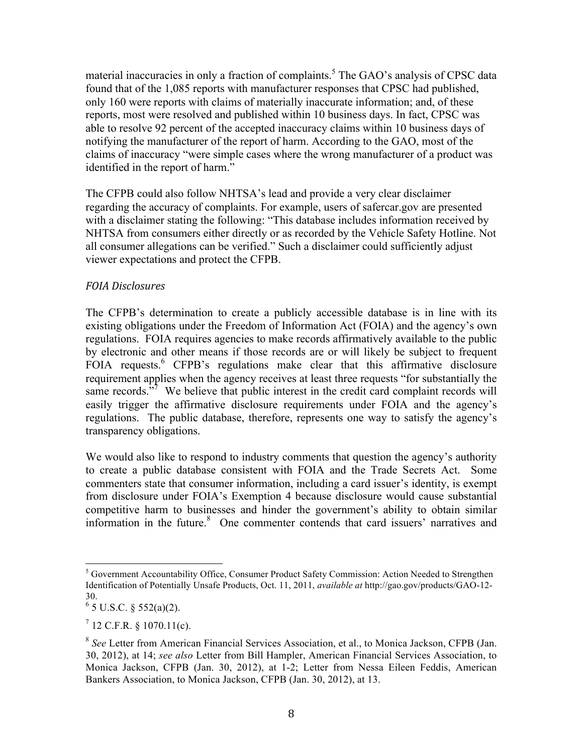material inaccuracies in only a fraction of complaints.<sup>5</sup> The GAO's analysis of CPSC data found that of the 1,085 reports with manufacturer responses that CPSC had published, only 160 were reports with claims of materially inaccurate information; and, of these reports, most were resolved and published within 10 business days. In fact, CPSC was able to resolve 92 percent of the accepted inaccuracy claims within 10 business days of notifying the manufacturer of the report of harm. According to the GAO, most of the claims of inaccuracy "were simple cases where the wrong manufacturer of a product was identified in the report of harm."

The CFPB could also follow NHTSA's lead and provide a very clear disclaimer regarding the accuracy of complaints. For example, users of safercar.gov are presented with a disclaimer stating the following: "This database includes information received by NHTSA from consumers either directly or as recorded by the Vehicle Safety Hotline. Not all consumer allegations can be verified." Such a disclaimer could sufficiently adjust viewer expectations and protect the CFPB.

## *FOIA\*Disclosures*

The CFPB's determination to create a publicly accessible database is in line with its existing obligations under the Freedom of Information Act (FOIA) and the agency's own regulations. FOIA requires agencies to make records affirmatively available to the public by electronic and other means if those records are or will likely be subject to frequent FOIA requests.<sup>6</sup> CFPB's regulations make clear that this affirmative disclosure requirement applies when the agency receives at least three requests "for substantially the same records. $\frac{1}{2}$  We believe that public interest in the credit card complaint records will easily trigger the affirmative disclosure requirements under FOIA and the agency's regulations. The public database, therefore, represents one way to satisfy the agency's transparency obligations.

We would also like to respond to industry comments that question the agency's authority to create a public database consistent with FOIA and the Trade Secrets Act. Some commenters state that consumer information, including a card issuer's identity, is exempt from disclosure under FOIA's Exemption 4 because disclosure would cause substantial competitive harm to businesses and hinder the government's ability to obtain similar information in the future.<sup>8</sup> One commenter contends that card issuers' narratives and

 $\frac{1}{6}$  Government Accountability Office, Consumer Product Safety Commission: Action Needed to Strengthen Identification of Potentially Unsafe Products, Oct. 11, 2011, *available at* http://gao.gov/products/GAO-12- 30.

 $6$  5 U.S.C. § 552(a)(2).

 $7$  12 C.F.R. § 1070.11(c).

<sup>8</sup> *See* Letter from American Financial Services Association, et al., to Monica Jackson, CFPB (Jan. 30, 2012), at 14; *see also* Letter from Bill Hampler, American Financial Services Association, to Monica Jackson, CFPB (Jan. 30, 2012), at 1-2; Letter from Nessa Eileen Feddis, American Bankers Association, to Monica Jackson, CFPB (Jan. 30, 2012), at 13.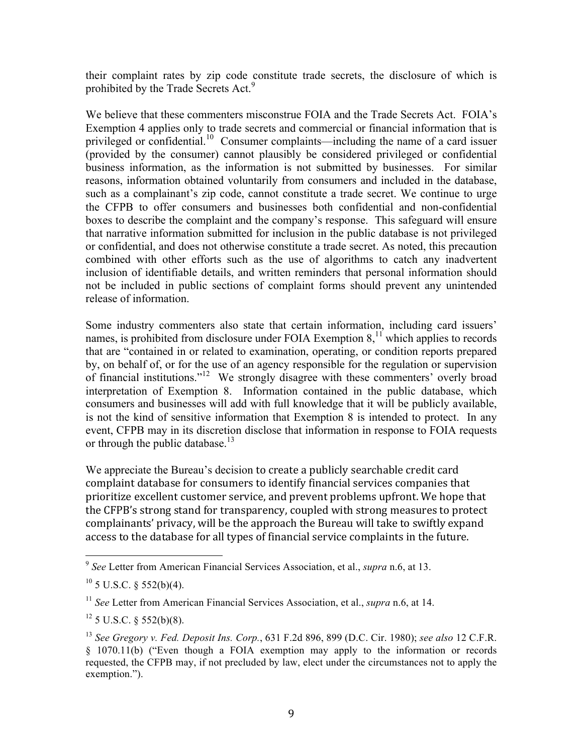their complaint rates by zip code constitute trade secrets, the disclosure of which is prohibited by the Trade Secrets Act.<sup>9</sup>

We believe that these commenters misconstrue FOIA and the Trade Secrets Act. FOIA's Exemption 4 applies only to trade secrets and commercial or financial information that is privileged or confidential.<sup>10</sup> Consumer complaints—including the name of a card issuer (provided by the consumer) cannot plausibly be considered privileged or confidential business information, as the information is not submitted by businesses. For similar reasons, information obtained voluntarily from consumers and included in the database, such as a complainant's zip code, cannot constitute a trade secret. We continue to urge the CFPB to offer consumers and businesses both confidential and non-confidential boxes to describe the complaint and the company's response. This safeguard will ensure that narrative information submitted for inclusion in the public database is not privileged or confidential, and does not otherwise constitute a trade secret. As noted, this precaution combined with other efforts such as the use of algorithms to catch any inadvertent inclusion of identifiable details, and written reminders that personal information should not be included in public sections of complaint forms should prevent any unintended release of information.

Some industry commenters also state that certain information, including card issuers' names, is prohibited from disclosure under FOIA Exemption  $8<sup>11</sup>$ , which applies to records that are "contained in or related to examination, operating, or condition reports prepared by, on behalf of, or for the use of an agency responsible for the regulation or supervision of financial institutions."<sup>12</sup> We strongly disagree with these commenters' overly broad interpretation of Exemption 8. Information contained in the public database, which consumers and businesses will add with full knowledge that it will be publicly available, is not the kind of sensitive information that Exemption 8 is intended to protect. In any event, CFPB may in its discretion disclose that information in response to FOIA requests or through the public database.<sup>13</sup>

We appreciate the Bureau's decision to create a publicly searchable credit card complaint database for consumers to identify financial services companies that prioritize excellent customer service, and prevent problems upfront. We hope that the CFPB's strong stand for transparency, coupled with strong measures to protect complainants' privacy, will be the approach the Bureau will take to swiftly expand access to the database for all types of financial service complaints in the future.

<sup>&</sup>lt;sup>9</sup> See Letter from American Financial Services Association, et al., *supra* n.6, at 13.

 $10$  5 U.S.C. § 552(b)(4).

<sup>11</sup> *See* Letter from American Financial Services Association, et al., *supra* n.6, at 14.

 $12$  5 U.S.C. § 552(b)(8).

<sup>13</sup> *See Gregory v. Fed. Deposit Ins. Corp.*, 631 F.2d 896, 899 (D.C. Cir. 1980); *see also* 12 C.F.R. § 1070.11(b) ("Even though a FOIA exemption may apply to the information or records requested, the CFPB may, if not precluded by law, elect under the circumstances not to apply the exemption.").